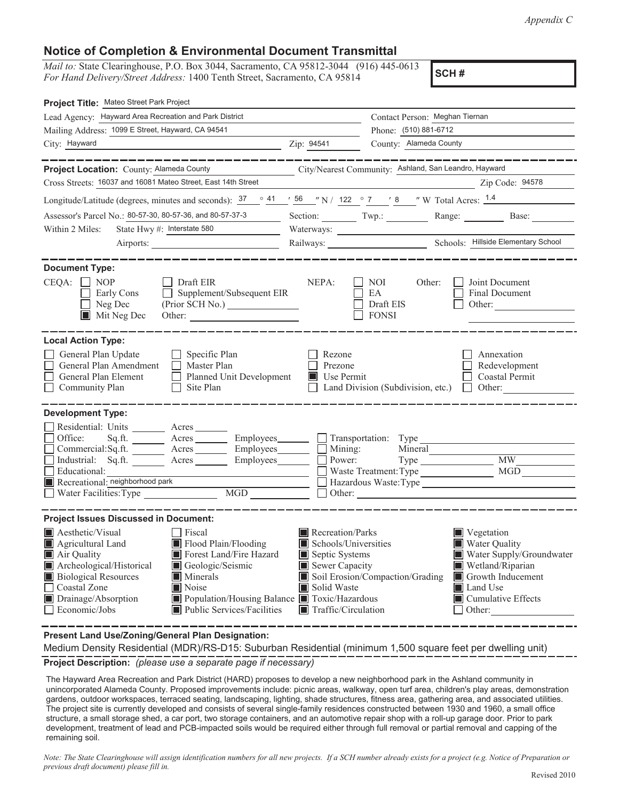*Appendix C*

## **Notice of Completion & Environmental Document Transmittal**

*Mail to:* State Clearinghouse, P.O. Box 3044, Sacramento, CA 95812-3044 (916) 445-0613 *For Hand Delivery/Street Address:* 1400 Tenth Street, Sacramento, CA 95814

**SCH #**

| Project Title: Mateo Street Park Project                                                                                                                                                                                                                                                                                                                                                |                                                                                                                                   |                                                                            |                                                                                                                                                                             |  |  |  |
|-----------------------------------------------------------------------------------------------------------------------------------------------------------------------------------------------------------------------------------------------------------------------------------------------------------------------------------------------------------------------------------------|-----------------------------------------------------------------------------------------------------------------------------------|----------------------------------------------------------------------------|-----------------------------------------------------------------------------------------------------------------------------------------------------------------------------|--|--|--|
| Lead Agency: Hayward Area Recreation and Park District                                                                                                                                                                                                                                                                                                                                  |                                                                                                                                   | Contact Person: Meghan Tiernan                                             |                                                                                                                                                                             |  |  |  |
| Mailing Address: 1099 E Street, Hayward, CA 94541                                                                                                                                                                                                                                                                                                                                       |                                                                                                                                   | Phone: (510) 881-6712                                                      |                                                                                                                                                                             |  |  |  |
| City: Hayward                                                                                                                                                                                                                                                                                                                                                                           | Zip: 94541                                                                                                                        | County: Alameda County                                                     |                                                                                                                                                                             |  |  |  |
|                                                                                                                                                                                                                                                                                                                                                                                         |                                                                                                                                   |                                                                            |                                                                                                                                                                             |  |  |  |
| Project Location: County: Alameda County<br>Cross Streets: 16037 and 16081 Mateo Street, East 14th Street                                                                                                                                                                                                                                                                               |                                                                                                                                   | City/Nearest Community: Ashland, San Leandro, Hayward                      |                                                                                                                                                                             |  |  |  |
|                                                                                                                                                                                                                                                                                                                                                                                         |                                                                                                                                   |                                                                            | Zip Code: 94578                                                                                                                                                             |  |  |  |
| Longitude/Latitude (degrees, minutes and seconds): $\frac{37}{10}$ $\frac{41}{56}$ $\frac{156}{10}$ N / 122 $\degree$ 7 $\degree$ 8 $\degree$ W Total Acres: $\frac{1.4}{10}$                                                                                                                                                                                                           |                                                                                                                                   |                                                                            |                                                                                                                                                                             |  |  |  |
| Assessor's Parcel No.: 80-57-30, 80-57-36, and 80-57-37-3                                                                                                                                                                                                                                                                                                                               |                                                                                                                                   | Section: Twp.: Range: Base:                                                |                                                                                                                                                                             |  |  |  |
| State Hwy #: Interstate 580<br>Within 2 Miles:                                                                                                                                                                                                                                                                                                                                          | Waterways:                                                                                                                        |                                                                            |                                                                                                                                                                             |  |  |  |
|                                                                                                                                                                                                                                                                                                                                                                                         |                                                                                                                                   |                                                                            |                                                                                                                                                                             |  |  |  |
| <b>Document Type:</b><br>$CEQA: \Box NP$<br>Draft EIR<br>$\Box$ Supplement/Subsequent EIR<br>Early Cons<br>$\Box$ Neg Dec<br>Mit Neg Dec                                                                                                                                                                                                                                                | NEPA:                                                                                                                             | Other:<br>NOI<br>EA<br>Draft EIS<br><b>FONSI</b>                           | Joint Document<br><b>Final Document</b><br>Other: $\qquad \qquad$                                                                                                           |  |  |  |
| <b>Local Action Type:</b>                                                                                                                                                                                                                                                                                                                                                               |                                                                                                                                   |                                                                            |                                                                                                                                                                             |  |  |  |
| General Plan Update<br>$\Box$ Specific Plan<br>General Plan Amendment<br>$\Box$ Master Plan<br>Planned Unit Development<br>General Plan Element<br>Community Plan<br>$\Box$ Site Plan                                                                                                                                                                                                   | Rezone<br>Prezone<br><b>Use Permit</b>                                                                                            | $\Box$ Land Division (Subdivision, etc.) $\Box$ Other:                     | Annexation<br>Redevelopment<br>Coastal Permit                                                                                                                               |  |  |  |
| <b>Development Type:</b>                                                                                                                                                                                                                                                                                                                                                                |                                                                                                                                   |                                                                            |                                                                                                                                                                             |  |  |  |
| Residential: Units ________ Acres _______<br>Office:<br>Commercial:Sq.ft. Acres Employees<br>Industrial: Sq.ft. <u>Acres</u> Acres Employees<br>Educational:<br>Recreational: neighborhood park<br>$\overline{MGD}$<br>Water Facilities: Type                                                                                                                                           | Employees_________ Transportation: Type<br>$\Box$ Mining:<br>Power:                                                               | Mineral<br>Waste Treatment: Type<br>Hazardous Waste: Type<br>$\Box$ Other: | <b>MW</b><br>MGD                                                                                                                                                            |  |  |  |
| <b>Project Issues Discussed in Document:</b>                                                                                                                                                                                                                                                                                                                                            |                                                                                                                                   |                                                                            |                                                                                                                                                                             |  |  |  |
| <b>A</b> esthetic/Visual<br>Fiscal<br>Flood Plain/Flooding<br>Agricultural Land<br>Forest Land/Fire Hazard<br>Air Quality<br>Archeological/Historical<br>Geologic/Seismic<br><b>Biological Resources</b><br>Minerals<br>Coastal Zone<br>$\blacksquare$ Noise<br>Drainage/Absorption<br>Population/Housing Balance Toxic/Hazardous<br>Public Services/Facilities<br>$\Box$ Economic/Jobs | Recreation/Parks<br>Schools/Universities<br>Septic Systems<br>Sewer Capacity<br>Solid Waste<br>$\blacksquare$ Traffic/Circulation | Soil Erosion/Compaction/Grading                                            | $\blacksquare$ Vegetation<br>Water Quality<br>Water Supply/Groundwater<br>Wetland/Riparian<br>Growth Inducement<br><b>I</b> Land Use<br>Cumulative Effects<br>$\Box$ Other: |  |  |  |

**Present Land Use/Zoning/General Plan Designation:**

**Project Description:** *(please use a separate page if necessary)* Medium Density Residential (MDR)/RS-D15: Suburban Residential (minimum 1,500 square feet per dwelling unit)

 The Hayward Area Recreation and Park District (HARD) proposes to develop a new neighborhood park in the Ashland community in unincorporated Alameda County. Proposed improvements include: picnic areas, walkway, open turf area, children's play areas, demonstration gardens, outdoor workspaces, terraced seating, landscaping, lighting, shade structures, fitness area, gathering area, and associated utilities. The project site is currently developed and consists of several single-family residences constructed between 1930 and 1960, a small office structure, a small storage shed, a car port, two storage containers, and an automotive repair shop with a roll-up garage door. Prior to park development, treatment of lead and PCB-impacted soils would be required either through full removal or partial removal and capping of the remaining soil.

*Note: The State Clearinghouse will assign identification numbers for all new projects. If a SCH number already exists for a project (e.g. Notice of Preparation or previous draft document) please fill in.*